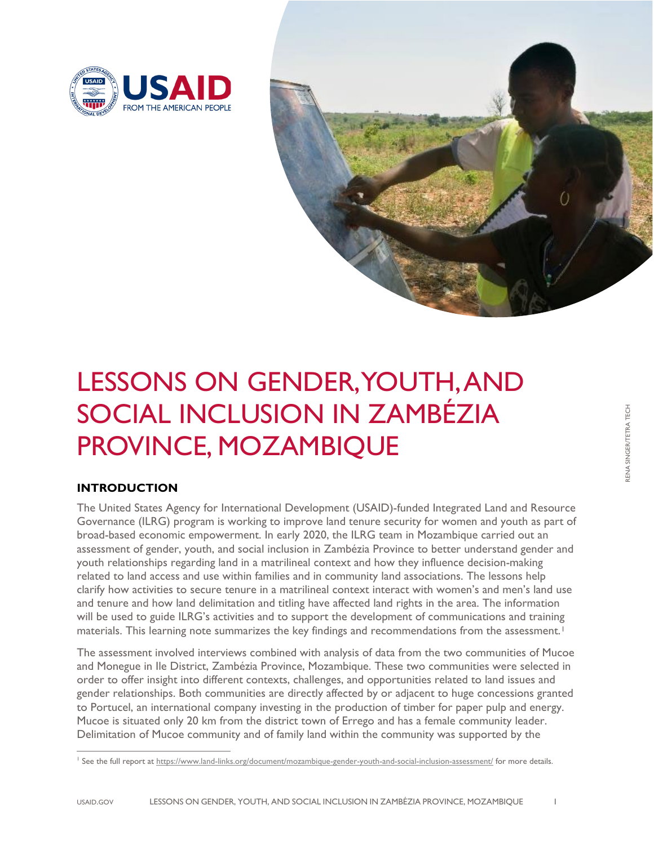



# LESSONS ON GENDER, YOUTH, AND SOCIAL INCLUSION IN ZAMBÉZIA PROVINCE, MOZAMBIQUE

# **INTRODUCTION**

The United States Agency for International Development (USAID)-funded Integrated Land and Resource Governance (ILRG) program is working to improve land tenure security for women and youth as part of broad-based economic empowerment. In early 2020, the ILRG team in Mozambique carried out an assessment of gender, youth, and social inclusion in Zambézia Province to better understand gender and youth relationships regarding land in a matrilineal context and how they influence decision-making related to land access and use within families and in community land associations. The lessons help clarify how activities to secure tenure in a matrilineal context interact with women's and men's land use and tenure and how land delimitation and titling have affected land rights in the area. The information will be used to guide ILRG's activities and to support the development of communications and training materials. This learning note summarizes the key findings and recommendations from the assessment.<sup>[1](#page-0-0)</sup>

The assessment involved interviews combined with analysis of data from the two communities of Mucoe and Monegue in Ile District, Zambézia Province, Mozambique. These two communities were selected in order to offer insight into different contexts, challenges, and opportunities related to land issues and gender relationships. Both communities are directly affected by or adjacent to huge concessions granted to Portucel, an international company investing in the production of timber for paper pulp and energy. Mucoe is situated only 20 km from the district town of Errego and has a female community leader. Delimitation of Mucoe community and of family land within the community was supported by the

<span id="page-0-0"></span><sup>&</sup>lt;sup>1</sup> See the full report a[t https://www.land-links.org/document/mozambique-gender-youth-and-social-inclusion-assessment/](https://www.land-links.org/document/mozambique-gender-youth-and-social-inclusion-assessment/) for more details.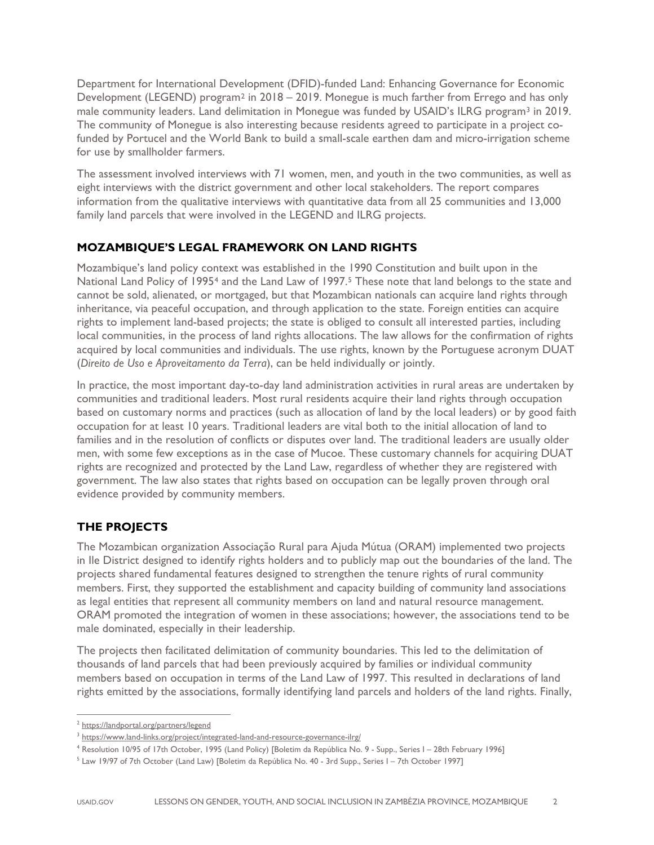Department for International Development (DFID)-funded Land: Enhancing Governance for Economic Development (LEGEND) program<sup>[2](#page-1-0)</sup> in 2018 – 2019. Monegue is much farther from Errego and has only male community leaders. Land delimitation in Monegue was funded by USAID's ILRG program<sup>[3](#page-1-1)</sup> in 2019. The community of Monegue is also interesting because residents agreed to participate in a project cofunded by Portucel and the World Bank to build a small-scale earthen dam and micro-irrigation scheme for use by smallholder farmers.

The assessment involved interviews with 71 women, men, and youth in the two communities, as well as eight interviews with the district government and other local stakeholders. The report compares information from the qualitative interviews with quantitative data from all 25 communities and 13,000 family land parcels that were involved in the LEGEND and ILRG projects.

# **MOZAMBIQUE'S LEGAL FRAMEWORK ON LAND RIGHTS**

Mozambique's land policy context was established in the 1990 Constitution and built upon in the National Land Policy of 1995<sup>[4](#page-1-2)</sup> and the Land Law of 1997.<sup>[5](#page-1-3)</sup> These note that land belongs to the state and cannot be sold, alienated, or mortgaged, but that Mozambican nationals can acquire land rights through inheritance, via peaceful occupation, and through application to the state. Foreign entities can acquire rights to implement land-based projects; the state is obliged to consult all interested parties, including local communities, in the process of land rights allocations. The law allows for the confirmation of rights acquired by local communities and individuals. The use rights, known by the Portuguese acronym DUAT (*Direito de Uso e Aproveitamento da Terra*), can be held individually or jointly.

In practice, the most important day-to-day land administration activities in rural areas are undertaken by communities and traditional leaders. Most rural residents acquire their land rights through occupation based on customary norms and practices (such as allocation of land by the local leaders) or by good faith occupation for at least 10 years. Traditional leaders are vital both to the initial allocation of land to families and in the resolution of conflicts or disputes over land. The traditional leaders are usually older men, with some few exceptions as in the case of Mucoe. These customary channels for acquiring DUAT rights are recognized and protected by the Land Law, regardless of whether they are registered with government. The law also states that rights based on occupation can be legally proven through oral evidence provided by community members.

# **THE PROJECTS**

The Mozambican organization Associação Rural para Ajuda Mútua (ORAM) implemented two projects in Ile District designed to identify rights holders and to publicly map out the boundaries of the land. The projects shared fundamental features designed to strengthen the tenure rights of rural community members. First, they supported the establishment and capacity building of community land associations as legal entities that represent all community members on land and natural resource management. ORAM promoted the integration of women in these associations; however, the associations tend to be male dominated, especially in their leadership.

The projects then facilitated delimitation of community boundaries. This led to the delimitation of thousands of land parcels that had been previously acquired by families or individual community members based on occupation in terms of the Land Law of 1997. This resulted in declarations of land rights emitted by the associations, formally identifying land parcels and holders of the land rights. Finally,

<span id="page-1-0"></span><sup>2</sup> <https://landportal.org/partners/legend>

<span id="page-1-1"></span><sup>&</sup>lt;sup>3</sup> <https://www.land-links.org/project/integrated-land-and-resource-governance-ilrg/>

<span id="page-1-2"></span><sup>4</sup> Resolution 10/95 of 17th October, 1995 (Land Policy) [Boletim da República No. 9 - Supp., Series I – 28th February 1996]

<span id="page-1-3"></span><sup>5</sup> Law 19/97 of 7th October (Land Law) [Boletim da República No. 40 - 3rd Supp., Series I – 7th October 1997]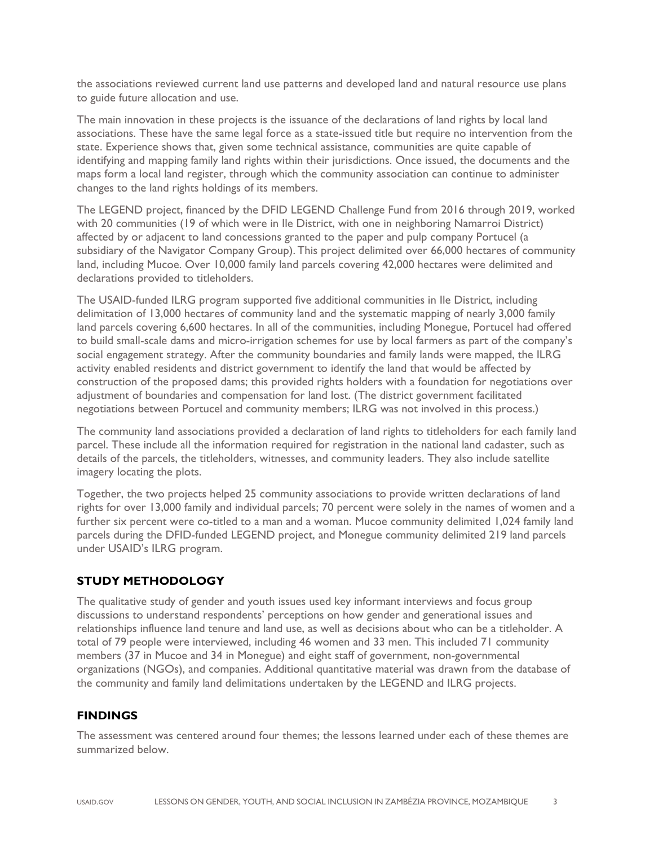the associations reviewed current land use patterns and developed land and natural resource use plans to guide future allocation and use.

The main innovation in these projects is the issuance of the declarations of land rights by local land associations. These have the same legal force as a state-issued title but require no intervention from the state. Experience shows that, given some technical assistance, communities are quite capable of identifying and mapping family land rights within their jurisdictions. Once issued, the documents and the maps form a local land register, through which the community association can continue to administer changes to the land rights holdings of its members.

The LEGEND project, financed by the DFID LEGEND Challenge Fund from 2016 through 2019, worked with 20 communities (19 of which were in Ile District, with one in neighboring Namarroi District) affected by or adjacent to land concessions granted to the paper and pulp company Portucel (a subsidiary of the Navigator Company Group). This project delimited over 66,000 hectares of community land, including Mucoe. Over 10,000 family land parcels covering 42,000 hectares were delimited and declarations provided to titleholders.

The USAID-funded ILRG program supported five additional communities in Ile District, including delimitation of 13,000 hectares of community land and the systematic mapping of nearly 3,000 family land parcels covering 6,600 hectares. In all of the communities, including Monegue, Portucel had offered to build small-scale dams and micro-irrigation schemes for use by local farmers as part of the company's social engagement strategy. After the community boundaries and family lands were mapped, the ILRG activity enabled residents and district government to identify the land that would be affected by construction of the proposed dams; this provided rights holders with a foundation for negotiations over adjustment of boundaries and compensation for land lost. (The district government facilitated negotiations between Portucel and community members; ILRG was not involved in this process.)

The community land associations provided a declaration of land rights to titleholders for each family land parcel. These include all the information required for registration in the national land cadaster, such as details of the parcels, the titleholders, witnesses, and community leaders. They also include satellite imagery locating the plots.

Together, the two projects helped 25 community associations to provide written declarations of land rights for over 13,000 family and individual parcels; 70 percent were solely in the names of women and a further six percent were co-titled to a man and a woman. Mucoe community delimited 1,024 family land parcels during the DFID-funded LEGEND project, and Monegue community delimited 219 land parcels under USAID's ILRG program.

# **STUDY METHODOLOGY**

The qualitative study of gender and youth issues used key informant interviews and focus group discussions to understand respondents' perceptions on how gender and generational issues and relationships influence land tenure and land use, as well as decisions about who can be a titleholder. A total of 79 people were interviewed, including 46 women and 33 men. This included 71 community members (37 in Mucoe and 34 in Monegue) and eight staff of government, non-governmental organizations (NGOs), and companies. Additional quantitative material was drawn from the database of the community and family land delimitations undertaken by the LEGEND and ILRG projects.

# **FINDINGS**

The assessment was centered around four themes; the lessons learned under each of these themes are summarized below.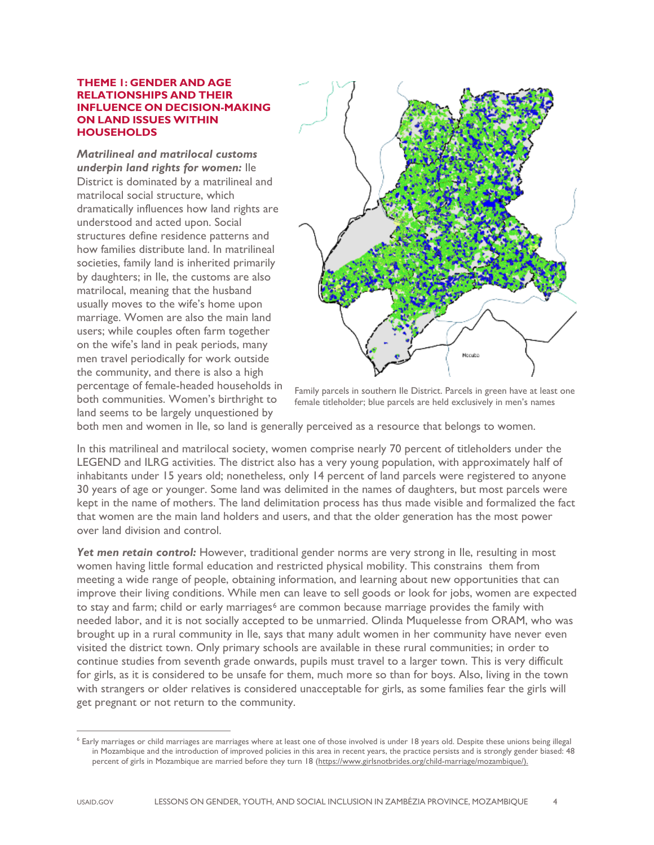#### **THEME 1: GENDER AND AGE RELATIONSHIPS AND THEIR INFLUENCE ON DECISION-MAKING ON LAND ISSUES WITHIN HOUSEHOLDS**

*Matrilineal and matrilocal customs underpin land rights for women:* Ile District is dominated by a matrilineal and matrilocal social structure, which dramatically influences how land rights are understood and acted upon. Social structures define residence patterns and how families distribute land. In matrilineal societies, family land is inherited primarily by daughters; in Ile, the customs are also matrilocal, meaning that the husband usually moves to the wife's home upon marriage. Women are also the main land users; while couples often farm together on the wife's land in peak periods, many men travel periodically for work outside the community, and there is also a high percentage of female-headed households in both communities. Women's birthright to land seems to be largely unquestioned by



Family parcels in southern Ile District. Parcels in green have at least one female titleholder; blue parcels are held exclusively in men's names

both men and women in Ile, so land is generally perceived as a resource that belongs to women.

In this matrilineal and matrilocal society, women comprise nearly 70 percent of titleholders under the LEGEND and ILRG activities. The district also has a very young population, with approximately half of inhabitants under 15 years old; nonetheless, only 14 percent of land parcels were registered to anyone 30 years of age or younger. Some land was delimited in the names of daughters, but most parcels were kept in the name of mothers. The land delimitation process has thus made visible and formalized the fact that women are the main land holders and users, and that the older generation has the most power over land division and control.

*Yet men retain control:* However, traditional gender norms are very strong in Ile, resulting in most women having little formal education and restricted physical mobility. This constrains them from meeting a wide range of people, obtaining information, and learning about new opportunities that can improve their living conditions. While men can leave to sell goods or look for jobs, women are expected to stay and farm; child or early marriages<sup>[6](#page-3-0)</sup> are common because marriage provides the family with needed labor, and it is not socially accepted to be unmarried. Olinda Muquelesse from ORAM, who was brought up in a rural community in Ile, says that many adult women in her community have never even visited the district town. Only primary schools are available in these rural communities; in order to continue studies from seventh grade onwards, pupils must travel to a larger town. This is very difficult for girls, as it is considered to be unsafe for them, much more so than for boys. Also, living in the town with strangers or older relatives is considered unacceptable for girls, as some families fear the girls will get pregnant or not return to the community.

<span id="page-3-0"></span><sup>6</sup> Early marriages or child marriages are marriages where at least one of those involved is under 18 years old. Despite these unions being illegal in Mozambique and the introduction of improved policies in this area in recent years, the practice persists and is strongly gender biased: 48 percent of girls in Mozambique are married before they turn 18 [\(https://www.girlsnotbrides.org/child-marriage/mozambique/\)](https://www.girlsnotbrides.org/child-marriage/mozambique/).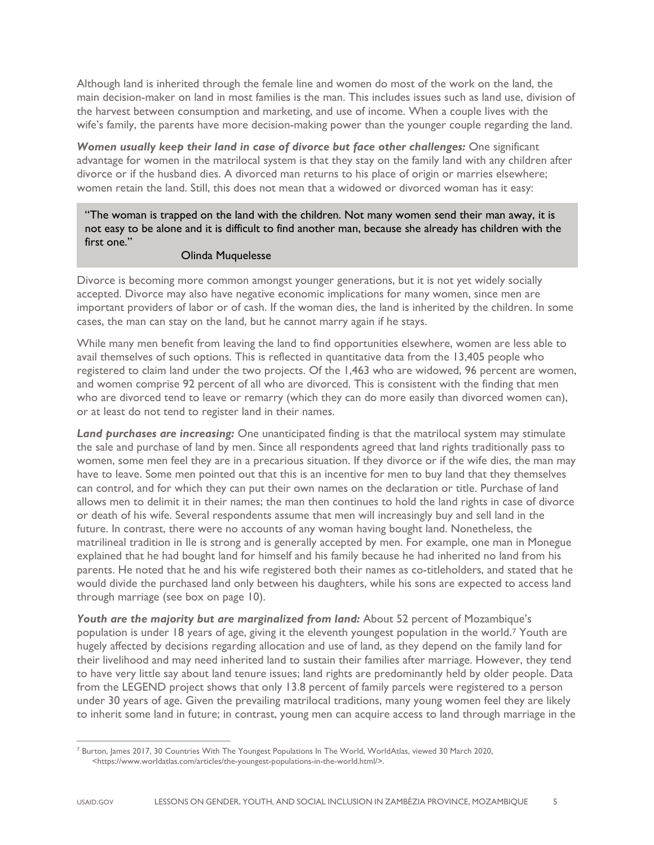Although land is inherited through the female line and women do most of the work on the land, the main decision-maker on land in most families is the man. This includes issues such as land use, division of the harvest between consumption and marketing, and use of income. When a couple lives with the wife's family, the parents have more decision-making power than the younger couple regarding the land.

*Women usually keep their land in case of divorce but face other challenges:* One significant advantage for women in the matrilocal system is that they stay on the family land with any children after divorce or if the husband dies. A divorced man returns to his place of origin or marries elsewhere; women retain the land. Still, this does not mean that a widowed or divorced woman has it easy:

"The woman is trapped on the land with the children. Not many women send their man away, it is not easy to be alone and it is difficult to find another man, because she already has children with the first one."

# Olinda Muquelesse

Divorce is becoming more common amongst younger generations, but it is not yet widely socially accepted. Divorce may also have negative economic implications for many women, since men are important providers of labor or of cash. If the woman dies, the land is inherited by the children. In some cases, the man can stay on the land, but he cannot marry again if he stays.

While many men benefit from leaving the land to find opportunities elsewhere, women are less able to avail themselves of such options. This is reflected in quantitative data from the 13,405 people who registered to claim land under the two projects. Of the 1,463 who are widowed, 96 percent are women, and women comprise 92 percent of all who are divorced. This is consistent with the finding that men who are divorced tend to leave or remarry (which they can do more easily than divorced women can), or at least do not tend to register land in their names.

Land purchases are increasing: One unanticipated finding is that the matrilocal system may stimulate the sale and purchase of land by men. Since all respondents agreed that land rights traditionally pass to women, some men feel they are in a precarious situation. If they divorce or if the wife dies, the man may have to leave. Some men pointed out that this is an incentive for men to buy land that they themselves can control, and for which they can put their own names on the declaration or title. Purchase of land allows men to delimit it in their names; the man then continues to hold the land rights in case of divorce or death of his wife. Several respondents assume that men will increasingly buy and sell land in the future. In contrast, there were no accounts of any woman having bought land. Nonetheless, the matrilineal tradition in Ile is strong and is generally accepted by men. For example, one man in Monegue explained that he had bought land for himself and his family because he had inherited no land from his parents. He noted that he and his wife registered both their names as co-titleholders, and stated that he would divide the purchased land only between his daughters, while his sons are expected to access land through marriage (see box on page 10).

*Youth are the majority but are marginalized from land:* About 52 percent of Mozambique's population is under 18 years of age, giving it the eleventh youngest population in the world.[7](#page-4-0) Youth are hugely affected by decisions regarding allocation and use of land, as they depend on the family land for their livelihood and may need inherited land to sustain their families after marriage. However, they tend to have very little say about land tenure issues; land rights are predominantly held by older people. Data from the LEGEND project shows that only 13.8 percent of family parcels were registered to a person under 30 years of age. Given the prevailing matrilocal traditions, many young women feel they are likely to inherit some land in future; in contrast, young men can acquire access to land through marriage in the

<span id="page-4-0"></span><sup>&</sup>lt;sup>7</sup> Burton, James 2017, 30 Countries With The Youngest Populations In The World, WorldAtlas, viewed 30 March 2020, <https://www.worldatlas.com/articles/the-youngest-populations-in-the-world.html/>.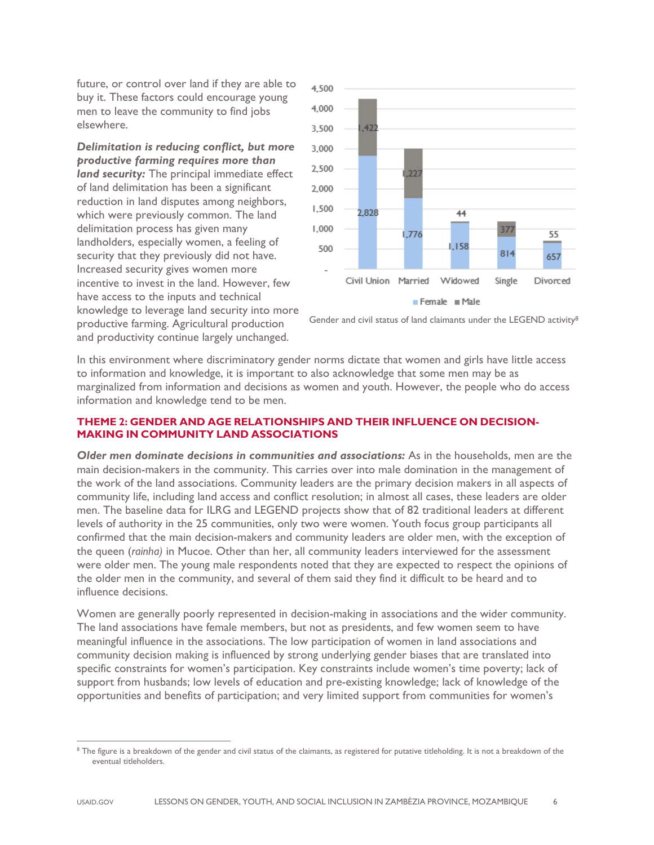future, or control over land if they are able to buy it. These factors could encourage young men to leave the community to find jobs elsewhere.

*Delimitation is reducing conflict, but more productive farming requires more than land security:* The principal immediate effect of land delimitation has been a significant reduction in land disputes among neighbors, which were previously common. The land delimitation process has given many landholders, especially women, a feeling of security that they previously did not have. Increased security gives women more incentive to invest in the land. However, few have access to the inputs and technical knowledge to leverage land security into more productive farming. Agricultural production and productivity continue largely unchanged.



Gender and civil status of land claimants under the LEGEND activity<sup>8</sup>

In this environment where discriminatory gender norms dictate that women and girls have little access to information and knowledge, it is important to also acknowledge that some men may be as marginalized from information and decisions as women and youth. However, the people who do access information and knowledge tend to be men.

# **THEME 2: GENDER AND AGE RELATIONSHIPS AND THEIR INFLUENCE ON DECISION-MAKING IN COMMUNITY LAND ASSOCIATIONS**

*Older men dominate decisions in communities and associations:* As in the households, men are the main decision-makers in the community. This carries over into male domination in the management of the work of the land associations. Community leaders are the primary decision makers in all aspects of community life, including land access and conflict resolution; in almost all cases, these leaders are older men. The baseline data for ILRG and LEGEND projects show that of 82 traditional leaders at different levels of authority in the 25 communities, only two were women. Youth focus group participants all confirmed that the main decision-makers and community leaders are older men, with the exception of the queen (*rainha)* in Mucoe. Other than her, all community leaders interviewed for the assessment were older men. The young male respondents noted that they are expected to respect the opinions of the older men in the community, and several of them said they find it difficult to be heard and to influence decisions.

Women are generally poorly represented in decision-making in associations and the wider community. The land associations have female members, but not as presidents, and few women seem to have meaningful influence in the associations. The low participation of women in land associations and community decision making is influenced by strong underlying gender biases that are translated into specific constraints for women's participation. Key constraints include women's time poverty; lack of support from husbands; low levels of education and pre-existing knowledge; lack of knowledge of the opportunities and benefits of participation; and very limited support from communities for women's

<span id="page-5-0"></span><sup>&</sup>lt;sup>8</sup> The figure is a breakdown of the gender and civil status of the claimants, as registered for putative titleholding. It is not a breakdown of the eventual titleholders.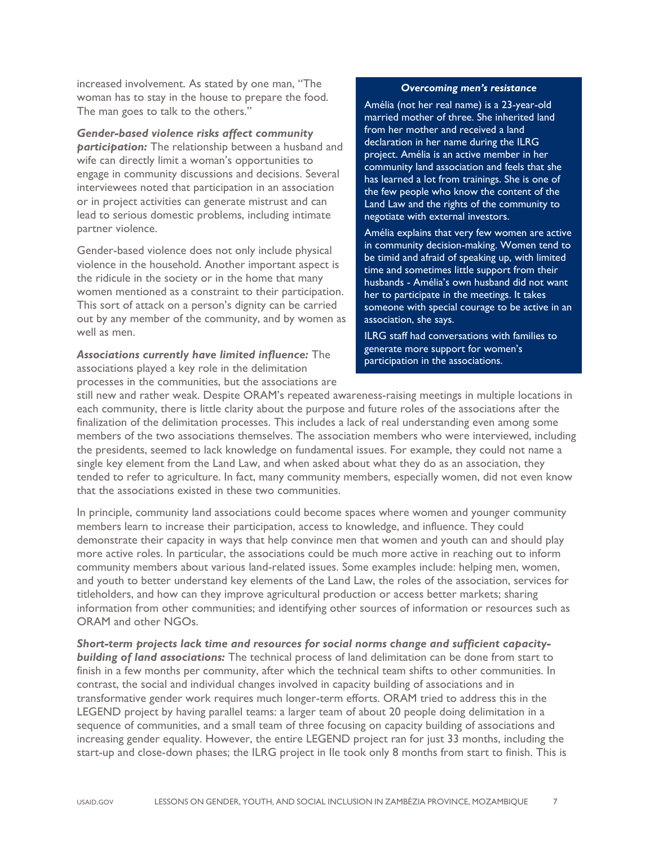increased involvement. As stated by one man, "The woman has to stay in the house to prepare the food. The man goes to talk to the others."

#### *Gender-based violence risks affect community*

*participation:* The relationship between a husband and wife can directly limit a woman's opportunities to engage in community discussions and decisions. Several interviewees noted that participation in an association or in project activities can generate mistrust and can lead to serious domestic problems, including intimate partner violence.

Gender-based violence does not only include physical violence in the household. Another important aspect is the ridicule in the society or in the home that many women mentioned as a constraint to their participation. This sort of attack on a person's dignity can be carried out by any member of the community, and by women as well as men.

*Associations currently have limited influence:* The associations played a key role in the delimitation processes in the communities, but the associations are

#### *Overcoming men's resistance*

Amélia (not her real name) is a 23-year-old married mother of three. She inherited land from her mother and received a land declaration in her name during the ILRG project. Amélia is an active member in her community land association and feels that she has learned a lot from trainings. She is one of the few people who know the content of the Land Law and the rights of the community to negotiate with external investors.

Amélia explains that very few women are active in community decision-making. Women tend to be timid and afraid of speaking up, with limited time and sometimes little support from their husbands - Amélia's own husband did not want her to participate in the meetings. It takes someone with special courage to be active in an association, she says.

ILRG staff had conversations with families to generate more support for women's participation in the associations.

still new and rather weak. Despite ORAM's repeated awareness-raising meetings in multiple locations in each community, there is little clarity about the purpose and future roles of the associations after the finalization of the delimitation processes. This includes a lack of real understanding even among some members of the two associations themselves. The association members who were interviewed, including the presidents, seemed to lack knowledge on fundamental issues. For example, they could not name a single key element from the Land Law, and when asked about what they do as an association, they tended to refer to agriculture. In fact, many community members, especially women, did not even know that the associations existed in these two communities.

In principle, community land associations could become spaces where women and younger community members learn to increase their participation, access to knowledge, and influence. They could demonstrate their capacity in ways that help convince men that women and youth can and should play more active roles. In particular, the associations could be much more active in reaching out to inform community members about various land-related issues. Some examples include: helping men, women, and youth to better understand key elements of the Land Law, the roles of the association, services for titleholders, and how can they improve agricultural production or access better markets; sharing information from other communities; and identifying other sources of information or resources such as ORAM and other NGOs.

*Short-term projects lack time and resources for social norms change and sufficient capacitybuilding of land associations:* The technical process of land delimitation can be done from start to finish in a few months per community, after which the technical team shifts to other communities. In contrast, the social and individual changes involved in capacity building of associations and in transformative gender work requires much longer-term efforts. ORAM tried to address this in the LEGEND project by having parallel teams: a larger team of about 20 people doing delimitation in a sequence of communities, and a small team of three focusing on capacity building of associations and increasing gender equality. However, the entire LEGEND project ran for just 33 months, including the start-up and close-down phases; the ILRG project in Ile took only 8 months from start to finish. This is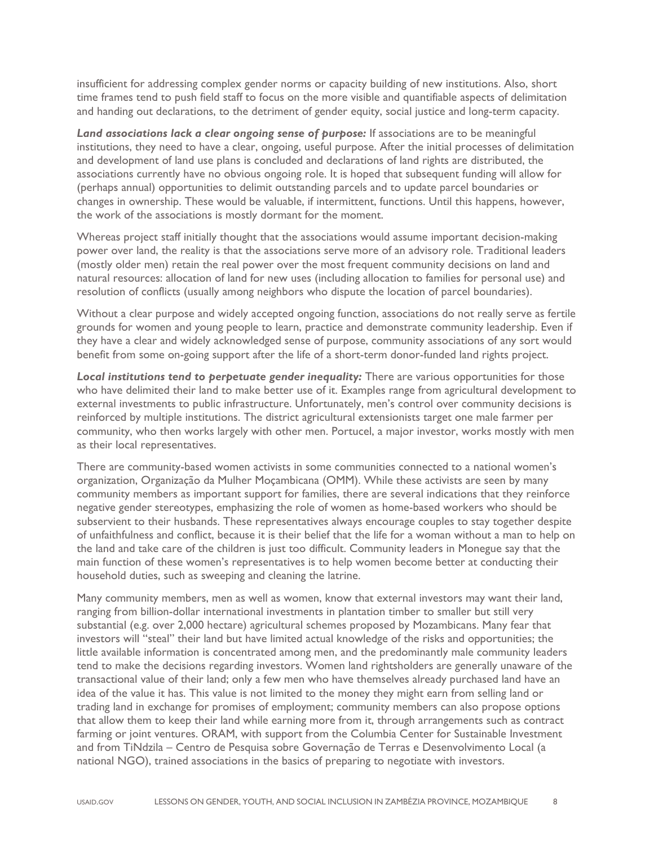insufficient for addressing complex gender norms or capacity building of new institutions. Also, short time frames tend to push field staff to focus on the more visible and quantifiable aspects of delimitation and handing out declarations, to the detriment of gender equity, social justice and long-term capacity.

*Land associations lack a clear ongoing sense of purpose:* If associations are to be meaningful institutions, they need to have a clear, ongoing, useful purpose. After the initial processes of delimitation and development of land use plans is concluded and declarations of land rights are distributed, the associations currently have no obvious ongoing role. It is hoped that subsequent funding will allow for (perhaps annual) opportunities to delimit outstanding parcels and to update parcel boundaries or changes in ownership. These would be valuable, if intermittent, functions. Until this happens, however, the work of the associations is mostly dormant for the moment.

Whereas project staff initially thought that the associations would assume important decision-making power over land, the reality is that the associations serve more of an advisory role. Traditional leaders (mostly older men) retain the real power over the most frequent community decisions on land and natural resources: allocation of land for new uses (including allocation to families for personal use) and resolution of conflicts (usually among neighbors who dispute the location of parcel boundaries).

Without a clear purpose and widely accepted ongoing function, associations do not really serve as fertile grounds for women and young people to learn, practice and demonstrate community leadership. Even if they have a clear and widely acknowledged sense of purpose, community associations of any sort would benefit from some on-going support after the life of a short-term donor-funded land rights project.

Local institutions tend to perpetuate gender inequality: There are various opportunities for those who have delimited their land to make better use of it. Examples range from agricultural development to external investments to public infrastructure. Unfortunately, men's control over community decisions is reinforced by multiple institutions. The district agricultural extensionists target one male farmer per community, who then works largely with other men. Portucel, a major investor, works mostly with men as their local representatives.

There are community-based women activists in some communities connected to a national women's organization, Organização da Mulher Moçambicana (OMM). While these activists are seen by many community members as important support for families, there are several indications that they reinforce negative gender stereotypes, emphasizing the role of women as home-based workers who should be subservient to their husbands. These representatives always encourage couples to stay together despite of unfaithfulness and conflict, because it is their belief that the life for a woman without a man to help on the land and take care of the children is just too difficult. Community leaders in Monegue say that the main function of these women's representatives is to help women become better at conducting their household duties, such as sweeping and cleaning the latrine.

Many community members, men as well as women, know that external investors may want their land, ranging from billion-dollar international investments in plantation timber to smaller but still very substantial (e.g. over 2,000 hectare) agricultural schemes proposed by Mozambicans. Many fear that investors will "steal" their land but have limited actual knowledge of the risks and opportunities; the little available information is concentrated among men, and the predominantly male community leaders tend to make the decisions regarding investors. Women land rightsholders are generally unaware of the transactional value of their land; only a few men who have themselves already purchased land have an idea of the value it has. This value is not limited to the money they might earn from selling land or trading land in exchange for promises of employment; community members can also propose options that allow them to keep their land while earning more from it, through arrangements such as contract farming or joint ventures. ORAM, with support from the Columbia Center for Sustainable Investment and from TiNdzila – Centro de Pesquisa sobre Governação de Terras e Desenvolvimento Local (a national NGO), trained associations in the basics of preparing to negotiate with investors.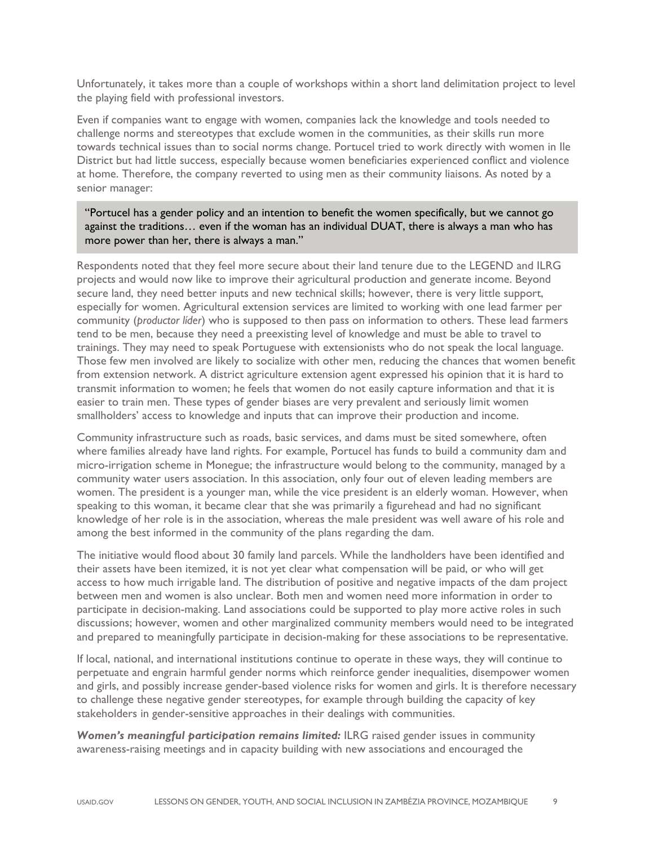Unfortunately, it takes more than a couple of workshops within a short land delimitation project to level the playing field with professional investors.

Even if companies want to engage with women, companies lack the knowledge and tools needed to challenge norms and stereotypes that exclude women in the communities, as their skills run more towards technical issues than to social norms change. Portucel tried to work directly with women in Ile District but had little success, especially because women beneficiaries experienced conflict and violence at home. Therefore, the company reverted to using men as their community liaisons. As noted by a senior manager:

"Portucel has a gender policy and an intention to benefit the women specifically, but we cannot go against the traditions… even if the woman has an individual DUAT, there is always a man who has more power than her, there is always a man."

Respondents noted that they feel more secure about their land tenure due to the LEGEND and ILRG projects and would now like to improve their agricultural production and generate income. Beyond secure land, they need better inputs and new technical skills; however, there is very little support, especially for women. Agricultural extension services are limited to working with one lead farmer per community (*productor líder*) who is supposed to then pass on information to others. These lead farmers tend to be men, because they need a preexisting level of knowledge and must be able to travel to trainings. They may need to speak Portuguese with extensionists who do not speak the local language. Those few men involved are likely to socialize with other men, reducing the chances that women benefit from extension network. A district agriculture extension agent expressed his opinion that it is hard to transmit information to women; he feels that women do not easily capture information and that it is easier to train men. These types of gender biases are very prevalent and seriously limit women smallholders' access to knowledge and inputs that can improve their production and income.

Community infrastructure such as roads, basic services, and dams must be sited somewhere, often where families already have land rights. For example, Portucel has funds to build a community dam and micro-irrigation scheme in Monegue; the infrastructure would belong to the community, managed by a community water users association. In this association, only four out of eleven leading members are women. The president is a younger man, while the vice president is an elderly woman. However, when speaking to this woman, it became clear that she was primarily a figurehead and had no significant knowledge of her role is in the association, whereas the male president was well aware of his role and among the best informed in the community of the plans regarding the dam.

The initiative would flood about 30 family land parcels. While the landholders have been identified and their assets have been itemized, it is not yet clear what compensation will be paid, or who will get access to how much irrigable land. The distribution of positive and negative impacts of the dam project between men and women is also unclear. Both men and women need more information in order to participate in decision-making. Land associations could be supported to play more active roles in such discussions; however, women and other marginalized community members would need to be integrated and prepared to meaningfully participate in decision-making for these associations to be representative.

If local, national, and international institutions continue to operate in these ways, they will continue to perpetuate and engrain harmful gender norms which reinforce gender inequalities, disempower women and girls, and possibly increase gender-based violence risks for women and girls. It is therefore necessary to challenge these negative gender stereotypes, for example through building the capacity of key stakeholders in gender-sensitive approaches in their dealings with communities.

*Women's meaningful participation remains limited:* ILRG raised gender issues in community awareness-raising meetings and in capacity building with new associations and encouraged the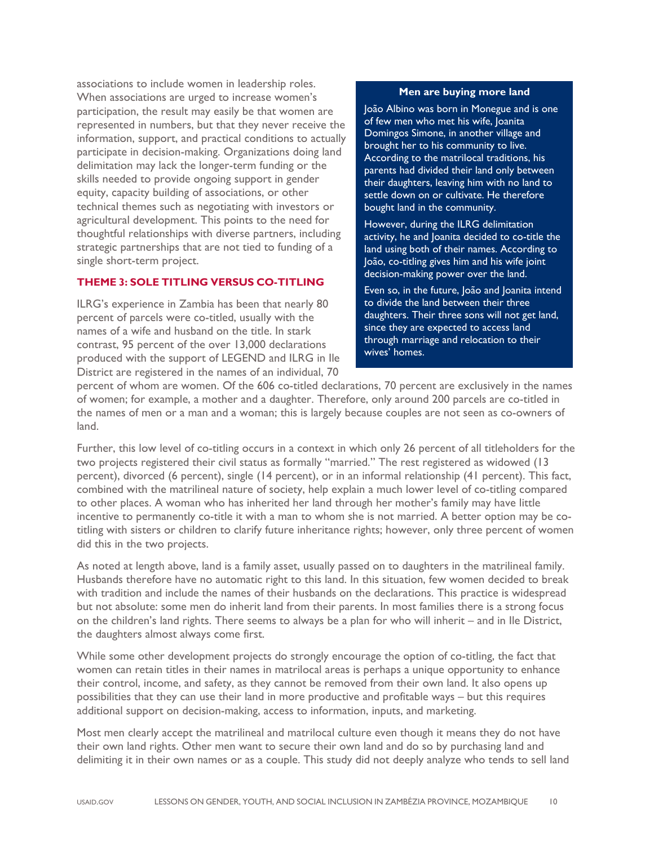associations to include women in leadership roles. When associations are urged to increase women's participation, the result may easily be that women are represented in numbers, but that they never receive the information, support, and practical conditions to actually participate in decision-making. Organizations doing land delimitation may lack the longer-term funding or the skills needed to provide ongoing support in gender equity, capacity building of associations, or other technical themes such as negotiating with investors or agricultural development. This points to the need for thoughtful relationships with diverse partners, including strategic partnerships that are not tied to funding of a single short-term project.

# **THEME 3: SOLE TITLING VERSUS CO-TITLING**

ILRG's experience in Zambia has been that nearly 80 percent of parcels were co-titled, usually with the names of a wife and husband on the title. In stark contrast, 95 percent of the over 13,000 declarations produced with the support of LEGEND and ILRG in Ile District are registered in the names of an individual, 70

#### **Men are buying more land**

João Albino was born in Monegue and is one of few men who met his wife, Joanita Domingos Simone, in another village and brought her to his community to live. According to the matrilocal traditions, his parents had divided their land only between their daughters, leaving him with no land to settle down on or cultivate. He therefore bought land in the community.

However, during the ILRG delimitation activity, he and Joanita decided to co-title the land using both of their names. According to João, co-titling gives him and his wife joint decision-making power over the land.

Even so, in the future, João and Joanita intend to divide the land between their three daughters. Their three sons will not get land, since they are expected to access land through marriage and relocation to their wives' homes.

percent of whom are women. Of the 606 co-titled declarations, 70 percent are exclusively in the names of women; for example, a mother and a daughter. Therefore, only around 200 parcels are co-titled in the names of men or a man and a woman; this is largely because couples are not seen as co-owners of land.

Further, this low level of co-titling occurs in a context in which only 26 percent of all titleholders for the two projects registered their civil status as formally "married." The rest registered as widowed (13 percent), divorced (6 percent), single (14 percent), or in an informal relationship (41 percent). This fact, combined with the matrilineal nature of society, help explain a much lower level of co-titling compared to other places. A woman who has inherited her land through her mother's family may have little incentive to permanently co-title it with a man to whom she is not married. A better option may be cotitling with sisters or children to clarify future inheritance rights; however, only three percent of women did this in the two projects.

As noted at length above, land is a family asset, usually passed on to daughters in the matrilineal family. Husbands therefore have no automatic right to this land. In this situation, few women decided to break with tradition and include the names of their husbands on the declarations. This practice is widespread but not absolute: some men do inherit land from their parents. In most families there is a strong focus on the children's land rights. There seems to always be a plan for who will inherit – and in Ile District, the daughters almost always come first.

While some other development projects do strongly encourage the option of co-titling, the fact that women can retain titles in their names in matrilocal areas is perhaps a unique opportunity to enhance their control, income, and safety, as they cannot be removed from their own land. It also opens up possibilities that they can use their land in more productive and profitable ways – but this requires additional support on decision-making, access to information, inputs, and marketing.

Most men clearly accept the matrilineal and matrilocal culture even though it means they do not have their own land rights. Other men want to secure their own land and do so by purchasing land and delimiting it in their own names or as a couple. This study did not deeply analyze who tends to sell land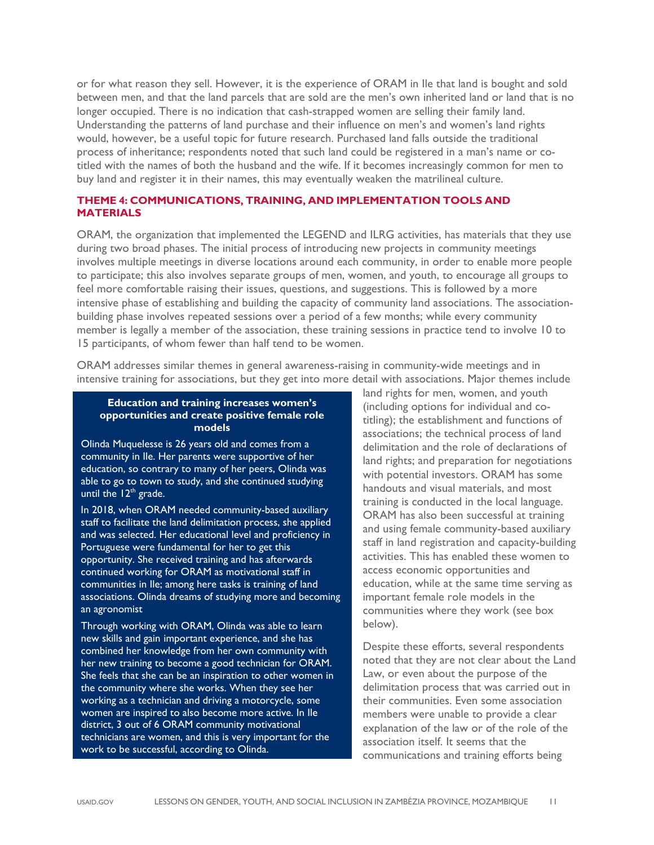or for what reason they sell. However, it is the experience of ORAM in Ile that land is bought and sold between men, and that the land parcels that are sold are the men's own inherited land or land that is no longer occupied. There is no indication that cash-strapped women are selling their family land. Understanding the patterns of land purchase and their influence on men's and women's land rights would, however, be a useful topic for future research. Purchased land falls outside the traditional process of inheritance; respondents noted that such land could be registered in a man's name or cotitled with the names of both the husband and the wife. If it becomes increasingly common for men to buy land and register it in their names, this may eventually weaken the matrilineal culture.

# **THEME 4: COMMUNICATIONS, TRAINING, AND IMPLEMENTATION TOOLS AND MATERIALS**

ORAM, the organization that implemented the LEGEND and ILRG activities, has materials that they use during two broad phases. The initial process of introducing new projects in community meetings involves multiple meetings in diverse locations around each community, in order to enable more people to participate; this also involves separate groups of men, women, and youth, to encourage all groups to feel more comfortable raising their issues, questions, and suggestions. This is followed by a more intensive phase of establishing and building the capacity of community land associations. The associationbuilding phase involves repeated sessions over a period of a few months; while every community member is legally a member of the association, these training sessions in practice tend to involve 10 to 15 participants, of whom fewer than half tend to be women.

ORAM addresses similar themes in general awareness-raising in community-wide meetings and in intensive training for associations, but they get into more detail with associations. Major themes include

#### **Education and training increases women's opportunities and create positive female role models**

Olinda Muquelesse is 26 years old and comes from a community in Ile. Her parents were supportive of her education, so contrary to many of her peers, Olinda was able to go to town to study, and she continued studying until the 12<sup>th</sup> grade.

In 2018, when ORAM needed community-based auxiliary staff to facilitate the land delimitation process, she applied and was selected. Her educational level and proficiency in Portuguese were fundamental for her to get this opportunity. She received training and has afterwards continued working for ORAM as motivational staff in communities in Ile; among here tasks is training of land associations. Olinda dreams of studying more and becoming an agronomist

Through working with ORAM, Olinda was able to learn new skills and gain important experience, and she has combined her knowledge from her own community with her new training to become a good technician for ORAM. She feels that she can be an inspiration to other women in the community where she works. When they see her working as a technician and driving a motorcycle, some women are inspired to also become more active. In Ile district, 3 out of 6 ORAM community motivational technicians are women, and this is very important for the work to be successful, according to Olinda.

land rights for men, women, and youth (including options for individual and cotitling); the establishment and functions of associations; the technical process of land delimitation and the role of declarations of land rights; and preparation for negotiations with potential investors. ORAM has some handouts and visual materials, and most training is conducted in the local language. ORAM has also been successful at training and using female community-based auxiliary staff in land registration and capacity-building activities. This has enabled these women to access economic opportunities and education, while at the same time serving as important female role models in the communities where they work (see box below).

Despite these efforts, several respondents noted that they are not clear about the Land Law, or even about the purpose of the delimitation process that was carried out in their communities. Even some association members were unable to provide a clear explanation of the law or of the role of the association itself. It seems that the communications and training efforts being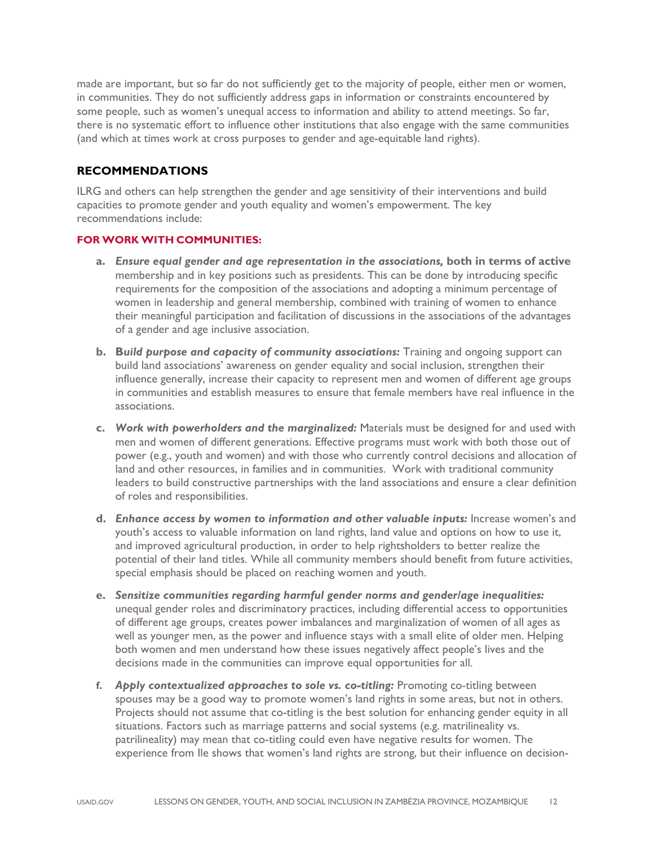made are important, but so far do not sufficiently get to the majority of people, either men or women, in communities. They do not sufficiently address gaps in information or constraints encountered by some people, such as women's unequal access to information and ability to attend meetings. So far, there is no systematic effort to influence other institutions that also engage with the same communities (and which at times work at cross purposes to gender and age-equitable land rights).

# **RECOMMENDATIONS**

ILRG and others can help strengthen the gender and age sensitivity of their interventions and build capacities to promote gender and youth equality and women's empowerment. The key recommendations include:

#### **FOR WORK WITH COMMUNITIES:**

- **a.** *Ensure equal gender and age representation in the associations,* **both in terms of active**  membership and in key positions such as presidents. This can be done by introducing specific requirements for the composition of the associations and adopting a minimum percentage of women in leadership and general membership, combined with training of women to enhance their meaningful participation and facilitation of discussions in the associations of the advantages of a gender and age inclusive association.
- **b. B***uild purpose and capacity of community associations:* Training and ongoing support can build land associations' awareness on gender equality and social inclusion, strengthen their influence generally, increase their capacity to represent men and women of different age groups in communities and establish measures to ensure that female members have real influence in the associations.
- **c.** *Work with powerholders and the marginalized:* Materials must be designed for and used with men and women of different generations. Effective programs must work with both those out of power (e.g., youth and women) and with those who currently control decisions and allocation of land and other resources, in families and in communities. Work with traditional community leaders to build constructive partnerships with the land associations and ensure a clear definition of roles and responsibilities.
- **d.** *Enhance access by women to information and other valuable inputs:* Increase women's and youth's access to valuable information on land rights, land value and options on how to use it, and improved agricultural production, in order to help rightsholders to better realize the potential of their land titles. While all community members should benefit from future activities, special emphasis should be placed on reaching women and youth.
- **e.** *Sensitize communities regarding harmful gender norms and gender/age inequalities:* unequal gender roles and discriminatory practices, including differential access to opportunities of different age groups, creates power imbalances and marginalization of women of all ages as well as younger men, as the power and influence stays with a small elite of older men. Helping both women and men understand how these issues negatively affect people's lives and the decisions made in the communities can improve equal opportunities for all.
- **f.** *Apply contextualized approaches to sole vs. co-titling:* Promoting co-titling between spouses may be a good way to promote women's land rights in some areas, but not in others. Projects should not assume that co-titling is the best solution for enhancing gender equity in all situations. Factors such as marriage patterns and social systems (e.g. matrilineality vs. patrilineality) may mean that co-titling could even have negative results for women. The experience from Ile shows that women's land rights are strong, but their influence on decision-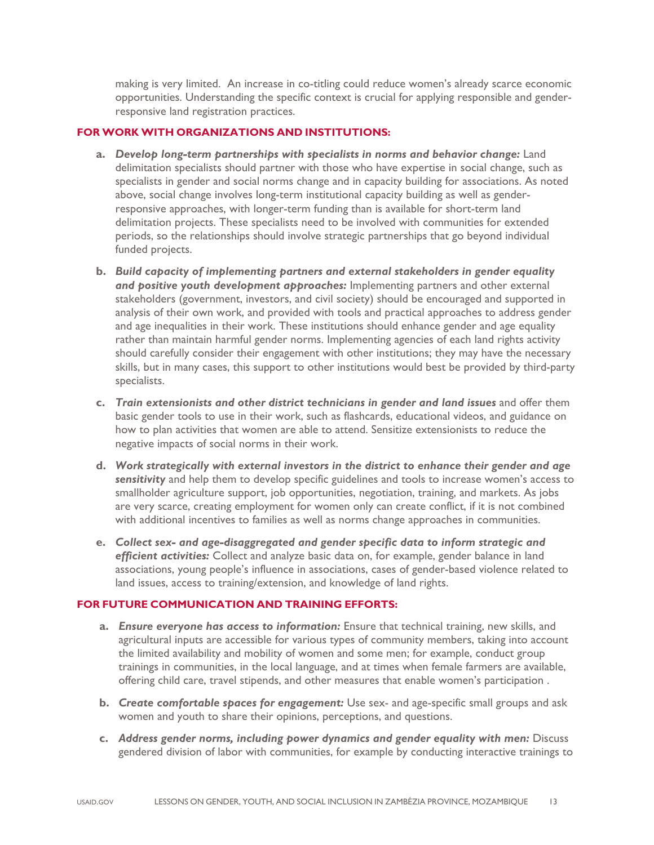making is very limited. An increase in co-titling could reduce women's already scarce economic opportunities. Understanding the specific context is crucial for applying responsible and genderresponsive land registration practices.

# **FOR WORK WITH ORGANIZATIONS AND INSTITUTIONS:**

- **a.** *Develop long-term partnerships with specialists in norms and behavior change:* Land delimitation specialists should partner with those who have expertise in social change, such as specialists in gender and social norms change and in capacity building for associations. As noted above, social change involves long-term institutional capacity building as well as genderresponsive approaches, with longer-term funding than is available for short-term land delimitation projects. These specialists need to be involved with communities for extended periods, so the relationships should involve strategic partnerships that go beyond individual funded projects.
- **b.** *Build capacity of implementing partners and external stakeholders in gender equality and positive youth development approaches:* Implementing partners and other external stakeholders (government, investors, and civil society) should be encouraged and supported in analysis of their own work, and provided with tools and practical approaches to address gender and age inequalities in their work. These institutions should enhance gender and age equality rather than maintain harmful gender norms. Implementing agencies of each land rights activity should carefully consider their engagement with other institutions; they may have the necessary skills, but in many cases, this support to other institutions would best be provided by third-party specialists.
- **c.** *Train extensionists and other district technicians in gender and land issues* and offer them basic gender tools to use in their work, such as flashcards, educational videos, and guidance on how to plan activities that women are able to attend. Sensitize extensionists to reduce the negative impacts of social norms in their work.
- **d.** *Work strategically with external investors in the district to enhance their gender and age sensitivity* and help them to develop specific guidelines and tools to increase women's access to smallholder agriculture support, job opportunities, negotiation, training, and markets. As jobs are very scarce, creating employment for women only can create conflict, if it is not combined with additional incentives to families as well as norms change approaches in communities.
- **e.** *Collect sex- and age-disaggregated and gender specific data to inform strategic and efficient activities:* Collect and analyze basic data on, for example, gender balance in land associations, young people's influence in associations, cases of gender-based violence related to land issues, access to training/extension, and knowledge of land rights.

# **FOR FUTURE COMMUNICATION AND TRAINING EFFORTS:**

- **a.** *Ensure everyone has access to information:* Ensure that technical training, new skills, and agricultural inputs are accessible for various types of community members, taking into account the limited availability and mobility of women and some men; for example, conduct group trainings in communities, in the local language, and at times when female farmers are available, offering child care, travel stipends, and other measures that enable women's participation .
- **b.** *Create comfortable spaces for engagement:* Use sex- and age-specific small groups and ask women and youth to share their opinions, perceptions, and questions.
- **c.** *Address gender norms, including power dynamics and gender equality with men:* Discuss gendered division of labor with communities, for example by conducting interactive trainings to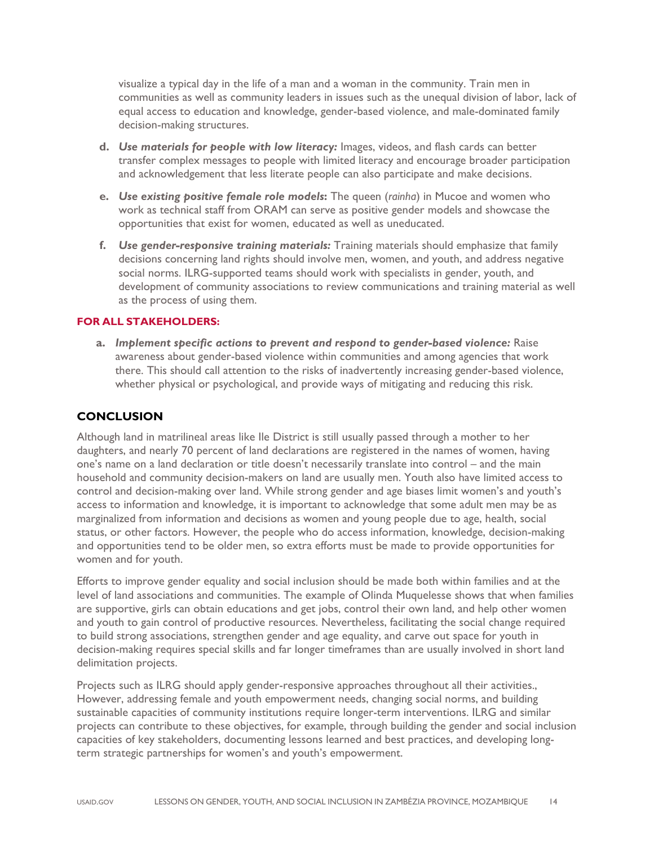visualize a typical day in the life of a man and a woman in the community. Train men in communities as well as community leaders in issues such as the unequal division of labor, lack of equal access to education and knowledge, gender-based violence, and male-dominated family decision-making structures.

- **d.** *Use materials for people with low literacy:* Images, videos, and flash cards can better transfer complex messages to people with limited literacy and encourage broader participation and acknowledgement that less literate people can also participate and make decisions.
- **e.** *Use existing positive female role models***:** The queen (*rainha*) in Mucoe and women who work as technical staff from ORAM can serve as positive gender models and showcase the opportunities that exist for women, educated as well as uneducated.
- **f.** *Use gender-responsive training materials:* Training materials should emphasize that family decisions concerning land rights should involve men, women, and youth, and address negative social norms. ILRG-supported teams should work with specialists in gender, youth, and development of community associations to review communications and training material as well as the process of using them.

# **FOR ALL STAKEHOLDERS:**

**a.** *Implement specific actions to prevent and respond to gender-based violence:* Raise awareness about gender-based violence within communities and among agencies that work there. This should call attention to the risks of inadvertently increasing gender-based violence, whether physical or psychological, and provide ways of mitigating and reducing this risk.

# **CONCLUSION**

Although land in matrilineal areas like Ile District is still usually passed through a mother to her daughters, and nearly 70 percent of land declarations are registered in the names of women, having one's name on a land declaration or title doesn't necessarily translate into control – and the main household and community decision-makers on land are usually men. Youth also have limited access to control and decision-making over land. While strong gender and age biases limit women's and youth's access to information and knowledge, it is important to acknowledge that some adult men may be as marginalized from information and decisions as women and young people due to age, health, social status, or other factors. However, the people who do access information, knowledge, decision-making and opportunities tend to be older men, so extra efforts must be made to provide opportunities for women and for youth.

Efforts to improve gender equality and social inclusion should be made both within families and at the level of land associations and communities. The example of Olinda Muquelesse shows that when families are supportive, girls can obtain educations and get jobs, control their own land, and help other women and youth to gain control of productive resources. Nevertheless, facilitating the social change required to build strong associations, strengthen gender and age equality, and carve out space for youth in decision-making requires special skills and far longer timeframes than are usually involved in short land delimitation projects.

Projects such as ILRG should apply gender-responsive approaches throughout all their activities., However, addressing female and youth empowerment needs, changing social norms, and building sustainable capacities of community institutions require longer-term interventions. ILRG and similar projects can contribute to these objectives, for example, through building the gender and social inclusion capacities of key stakeholders, documenting lessons learned and best practices, and developing longterm strategic partnerships for women's and youth's empowerment.